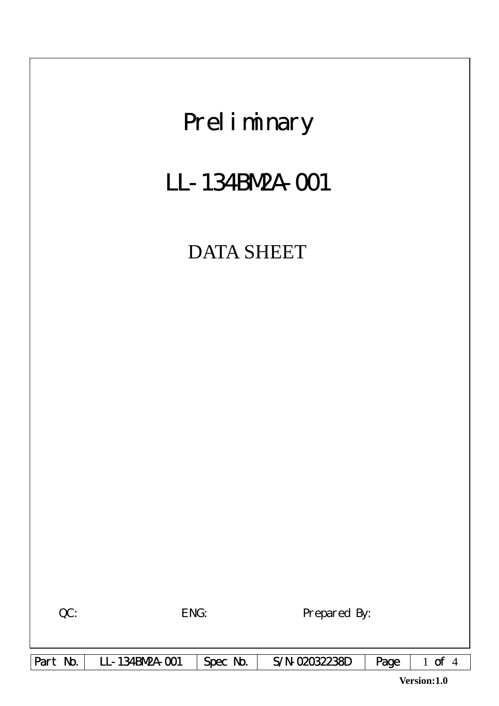

**Version:1.0**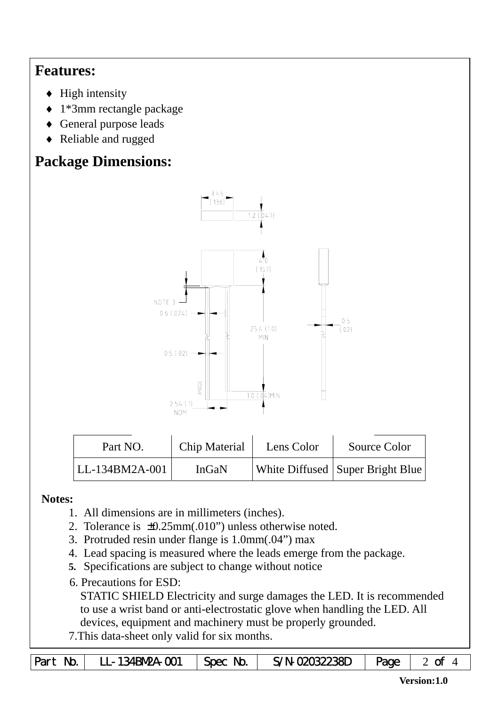## **Features:**

- $\blacklozenge$  High intensity
- ♦ 1\*3mm rectangle package
- ♦ General purpose leads
- ♦ Reliable and rugged

# **Package Dimensions:**



| Part NO.          | Chip Material | Lens Color | Source Color                       |  |
|-------------------|---------------|------------|------------------------------------|--|
| $ LL-134BM2A-001$ | InGaN         |            | White Diffused   Super Bright Blue |  |

#### **Notes:**

- 1. All dimensions are in millimeters (inches).
- 2. Tolerance is ±0.25mm(.010") unless otherwise noted.
- 3. Protruded resin under flange is 1.0mm(.04") max
- 4. Lead spacing is measured where the leads emerge from the package.
- **5.** Specifications are subject to change without notice
- 6. Precautions for ESD:

STATIC SHIELD Electricity and surge damages the LED. It is recommended to use a wrist band or anti-electrostatic glove when handling the LED. All devices, equipment and machinery must be properly grounded.

7.This data-sheet only valid for six months.

| Part No. | $LL - 134BW2A - CO1$ | $\vert$ Spec No. $\vert$ | S/N-02032238D | $\vert$ Page $\vert$ 2 of |  |
|----------|----------------------|--------------------------|---------------|---------------------------|--|
|----------|----------------------|--------------------------|---------------|---------------------------|--|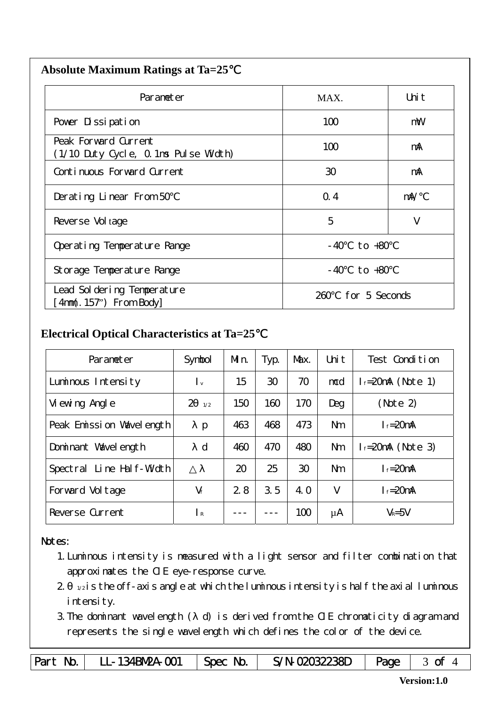| <b>Absolute Maximum Ratings at Ta=25</b> |  |
|------------------------------------------|--|
|                                          |  |

| Parameter                                                    | MAX.                  | Uni t      |
|--------------------------------------------------------------|-----------------------|------------|
| Pover Dissipation                                            | 100                   | mW         |
| Peak Forward Current<br>(1/10 Duty Cycle, 0.1ms Pulse Width) | 100                   | mA         |
| Continuous Forward Current                                   | 30                    | mA         |
| Derating Linear From 50                                      | Q.4                   | $m\lambda$ |
| Reverse Vol tage                                             | 5                     | V          |
| Operating Temperature Range                                  | to $+80$<br>- 40      |            |
| Storage Temperature Range                                    | $-40$ to $+80$        |            |
| Lead Sol dering Temperature<br>4nm(. 157") From Body         | for 5 Seconds<br>260. |            |

### **Electrical Optical Characteristics at Ta=25**℃

| Parameter                   | Symbol                    | Mn. | Typ. | Max. | Uni t          | Test Condition         |
|-----------------------------|---------------------------|-----|------|------|----------------|------------------------|
| Luminous Intensity          | $\mathsf{I}_{\mathsf{v}}$ | 15  | 30   | 70   | mcd            | $l_f = 20$ mA (Note 1) |
| Vi ewing Angl e             | $\overline{2}$<br>1/2     | 150 | 160  | 170  | Deg            | (Note 2)               |
| Peak Emission Wavelength    | $\mathbf{p}$              | 463 | 468  | 473  | N <sub>m</sub> | $I_f = 20$ mA          |
| Dominant Wavelength         | $\mathbf d$               | 460 | 470  | 480  | <b>Nm</b>      | $l_f = 20$ mA (Note 3) |
| Line Half-Width<br>Spectral |                           | 20  | 25   | 30   | N <sub>m</sub> | $I_f = 20$ mA          |
| Forward Voltage             | $V_f$                     | 2.8 | 3.5  | 4. O | $\vee$         | $I_f = 20$ mA          |
| Reverse Current             | $\mathsf{R}$              |     |      | 100  | μA             | $V_R = 5V$             |

#### Notes:

 $\overline{\phantom{a}}$ 

- 1.Luminous intensity is measured with a light sensor and filter combination that approximates the CIE eye-response curve.
- $2 1/2$  is the off-axis angle at which the luminous intensity is half the axial luminous i ntensity.
- 3.The dominant wavelength ( d) is derived from the CIE chromaticity diagram and represents the single wavelength which defines the color of the device.

Part No. | LL-134BN2A-001 | Spec No. | S/N-02032238D | Page | 3 of 4